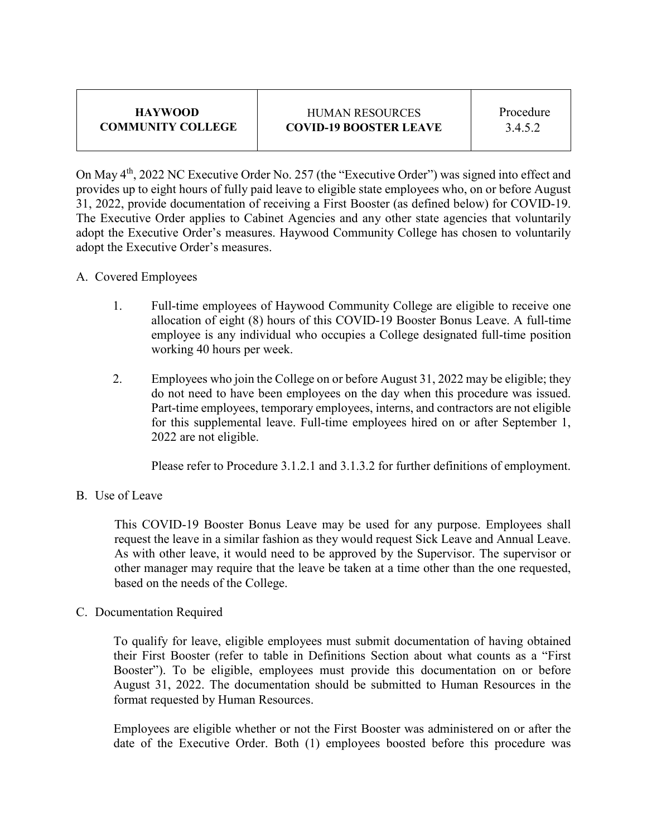| <b>HAYWOOD</b>           |  |  |  |
|--------------------------|--|--|--|
| <b>COMMUNITY COLLEGE</b> |  |  |  |

## HUMAN RESOURCES **COVID-19 BOOSTER LEAVE**

On May 4th, 2022 NC Executive Order No. 257 (the "Executive Order") was signed into effect and provides up to eight hours of fully paid leave to eligible state employees who, on or before August 31, 2022, provide documentation of receiving a First Booster (as defined below) for COVID-19. The Executive Order applies to Cabinet Agencies and any other state agencies that voluntarily adopt the Executive Order's measures. Haywood Community College has chosen to voluntarily adopt the Executive Order's measures.

- A. Covered Employees
	- 1. Full-time employees of Haywood Community College are eligible to receive one allocation of eight (8) hours of this COVID-19 Booster Bonus Leave. A full-time employee is any individual who occupies a College designated full-time position working 40 hours per week.
	- 2. Employees who join the College on or before August 31, 2022 may be eligible; they do not need to have been employees on the day when this procedure was issued. Part-time employees, temporary employees, interns, and contractors are not eligible for this supplemental leave. Full-time employees hired on or after September 1, 2022 are not eligible.

Please refer to Procedure 3.1.2.1 and 3.1.3.2 for further definitions of employment.

B. Use of Leave

This COVID-19 Booster Bonus Leave may be used for any purpose. Employees shall request the leave in a similar fashion as they would request Sick Leave and Annual Leave. As with other leave, it would need to be approved by the Supervisor. The supervisor or other manager may require that the leave be taken at a time other than the one requested, based on the needs of the College.

C. Documentation Required

To qualify for leave, eligible employees must submit documentation of having obtained their First Booster (refer to table in Definitions Section about what counts as a "First Booster"). To be eligible, employees must provide this documentation on or before August 31, 2022. The documentation should be submitted to Human Resources in the format requested by Human Resources.

Employees are eligible whether or not the First Booster was administered on or after the date of the Executive Order. Both (1) employees boosted before this procedure was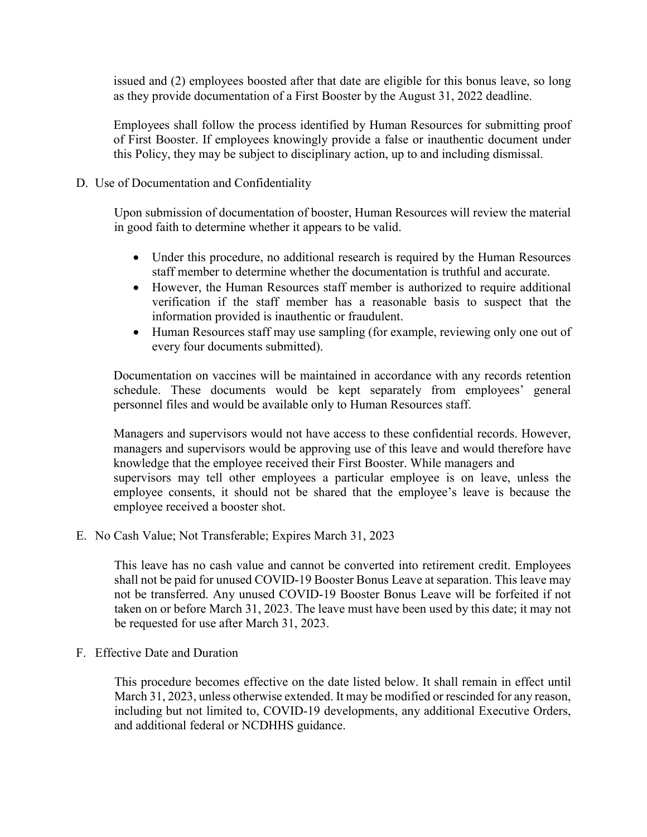issued and (2) employees boosted after that date are eligible for this bonus leave, so long as they provide documentation of a First Booster by the August 31, 2022 deadline.

Employees shall follow the process identified by Human Resources for submitting proof of First Booster. If employees knowingly provide a false or inauthentic document under this Policy, they may be subject to disciplinary action, up to and including dismissal.

## D. Use of Documentation and Confidentiality

Upon submission of documentation of booster, Human Resources will review the material in good faith to determine whether it appears to be valid.

- Under this procedure, no additional research is required by the Human Resources staff member to determine whether the documentation is truthful and accurate.
- However, the Human Resources staff member is authorized to require additional verification if the staff member has a reasonable basis to suspect that the information provided is inauthentic or fraudulent.
- Human Resources staff may use sampling (for example, reviewing only one out of every four documents submitted).

Documentation on vaccines will be maintained in accordance with any records retention schedule. These documents would be kept separately from employees' general personnel files and would be available only to Human Resources staff.

Managers and supervisors would not have access to these confidential records. However, managers and supervisors would be approving use of this leave and would therefore have knowledge that the employee received their First Booster. While managers and supervisors may tell other employees a particular employee is on leave, unless the employee consents, it should not be shared that the employee's leave is because the employee received a booster shot.

E. No Cash Value; Not Transferable; Expires March 31, 2023

This leave has no cash value and cannot be converted into retirement credit. Employees shall not be paid for unused COVID-19 Booster Bonus Leave at separation. This leave may not be transferred. Any unused COVID-19 Booster Bonus Leave will be forfeited if not taken on or before March 31, 2023. The leave must have been used by this date; it may not be requested for use after March 31, 2023.

F. Effective Date and Duration

This procedure becomes effective on the date listed below. It shall remain in effect until March 31, 2023, unless otherwise extended. It may be modified or rescinded for any reason, including but not limited to, COVID-19 developments, any additional Executive Orders, and additional federal or NCDHHS guidance.